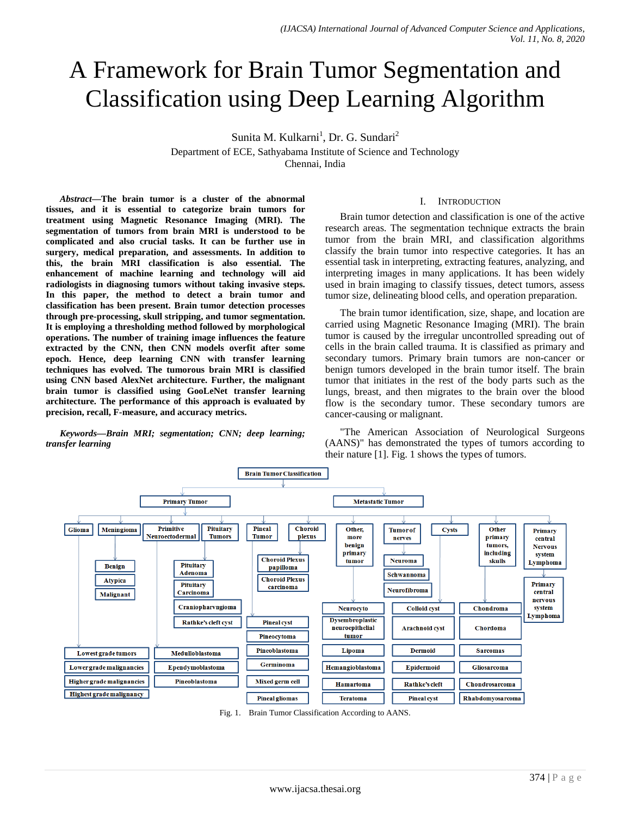# A Framework for Brain Tumor Segmentation and Classification using Deep Learning Algorithm

Sunita M. Kulkarni<sup>1</sup>, Dr. G. Sundari<sup>2</sup>

Department of ECE, Sathyabama Institute of Science and Technology Chennai, India

*Abstract***—The brain tumor is a cluster of the abnormal tissues, and it is essential to categorize brain tumors for treatment using Magnetic Resonance Imaging (MRI). The segmentation of tumors from brain MRI is understood to be complicated and also crucial tasks. It can be further use in surgery, medical preparation, and assessments. In addition to this, the brain MRI classification is also essential. The enhancement of machine learning and technology will aid radiologists in diagnosing tumors without taking invasive steps. In this paper, the method to detect a brain tumor and classification has been present. Brain tumor detection processes through pre-processing, skull stripping, and tumor segmentation. It is employing a thresholding method followed by morphological operations. The number of training image influences the feature extracted by the CNN, then CNN models overfit after some epoch. Hence, deep learning CNN with transfer learning techniques has evolved. The tumorous brain MRI is classified using CNN based AlexNet architecture. Further, the malignant brain tumor is classified using GooLeNet transfer learning architecture. The performance of this approach is evaluated by precision, recall, F-measure, and accuracy metrics.**

*Keywords—Brain MRI; segmentation; CNN; deep learning; transfer learning*

## I. INTRODUCTION

Brain tumor detection and classification is one of the active research areas. The segmentation technique extracts the brain tumor from the brain MRI, and classification algorithms classify the brain tumor into respective categories. It has an essential task in interpreting, extracting features, analyzing, and interpreting images in many applications. It has been widely used in brain imaging to classify tissues, detect tumors, assess tumor size, delineating blood cells, and operation preparation.

The brain tumor identification, size, shape, and location are carried using Magnetic Resonance Imaging (MRI). The brain tumor is caused by the irregular uncontrolled spreading out of cells in the brain called trauma. It is classified as primary and secondary tumors. Primary brain tumors are non-cancer or benign tumors developed in the brain tumor itself. The brain tumor that initiates in the rest of the body parts such as the lungs, breast, and then migrates to the brain over the blood flow is the secondary tumor. These secondary tumors are cancer-causing or malignant.

"The American Association of Neurological Surgeons (AANS)" has demonstrated the types of tumors according to their nature [1]. Fig. 1 shows the types of tumors.



Fig. 1. Brain Tumor Classification According to AANS.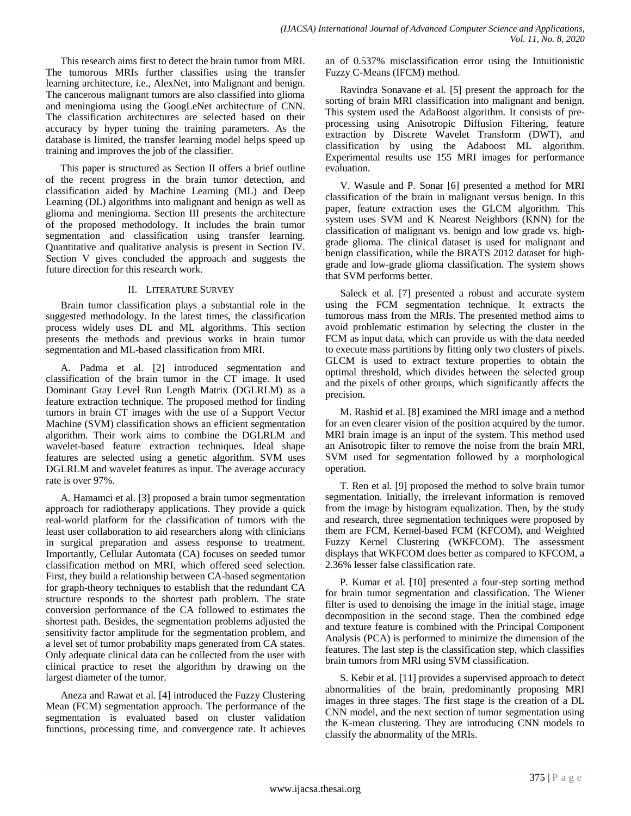This research aims first to detect the brain tumor from MRI. The tumorous MRIs further classifies using the transfer learning architecture, i.e., AlexNet, into Malignant and benign. The cancerous malignant tumors are also classified into glioma and meningioma using the GoogLeNet architecture of CNN. The classification architectures are selected based on their accuracy by hyper tuning the training parameters. As the database is limited, the transfer learning model helps speed up training and improves the job of the classifier.

This paper is structured as Section II offers a brief outline of the recent progress in the brain tumor detection, and classification aided by Machine Learning (ML) and Deep Learning (DL) algorithms into malignant and benign as well as glioma and meningioma. Section III presents the architecture of the proposed methodology. It includes the brain tumor segmentation and classification using transfer learning. Quantitative and qualitative analysis is present in Section IV. Section V gives concluded the approach and suggests the future direction for this research work.

# II. LITERATURE SURVEY

Brain tumor classification plays a substantial role in the suggested methodology. In the latest times, the classification process widely uses DL and ML algorithms. This section presents the methods and previous works in brain tumor segmentation and ML-based classification from MRI.

A. Padma et al. [2] introduced segmentation and classification of the brain tumor in the CT image. It used Dominant Gray Level Run Length Matrix (DGLRLM) as a feature extraction technique. The proposed method for finding tumors in brain CT images with the use of a Support Vector Machine (SVM) classification shows an efficient segmentation algorithm. Their work aims to combine the DGLRLM and wavelet-based feature extraction techniques. Ideal shape features are selected using a genetic algorithm. SVM uses DGLRLM and wavelet features as input. The average accuracy rate is over 97%.

A. Hamamci et al. [3] proposed a brain tumor segmentation approach for radiotherapy applications. They provide a quick real-world platform for the classification of tumors with the least user collaboration to aid researchers along with clinicians in surgical preparation and assess response to treatment. Importantly, Cellular Automata (CA) focuses on seeded tumor classification method on MRI, which offered seed selection. First, they build a relationship between CA-based segmentation for graph-theory techniques to establish that the redundant CA structure responds to the shortest path problem. The state conversion performance of the CA followed to estimates the shortest path. Besides, the segmentation problems adjusted the sensitivity factor amplitude for the segmentation problem, and a level set of tumor probability maps generated from CA states. Only adequate clinical data can be collected from the user with clinical practice to reset the algorithm by drawing on the largest diameter of the tumor.

Aneza and Rawat et al. [4] introduced the Fuzzy Clustering Mean (FCM) segmentation approach. The performance of the segmentation is evaluated based on cluster validation functions, processing time, and convergence rate. It achieves an of 0.537% misclassification error using the Intuitionistic Fuzzy C-Means (IFCM) method.

Ravindra Sonavane et al. [5] present the approach for the sorting of brain MRI classification into malignant and benign. This system used the AdaBoost algorithm. It consists of preprocessing using Anisotropic Diffusion Filtering, feature extraction by Discrete Wavelet Transform (DWT), and classification by using the Adaboost ML algorithm. Experimental results use 155 MRI images for performance evaluation.

V. Wasule and P. Sonar [6] presented a method for MRI classification of the brain in malignant versus benign. In this paper, feature extraction uses the GLCM algorithm. This system uses SVM and K Nearest Neighbors (KNN) for the classification of malignant vs. benign and low grade vs. highgrade glioma. The clinical dataset is used for malignant and benign classification, while the BRATS 2012 dataset for highgrade and low-grade glioma classification. The system shows that SVM performs better.

Saleck et al. [7] presented a robust and accurate system using the FCM segmentation technique. It extracts the tumorous mass from the MRIs. The presented method aims to avoid problematic estimation by selecting the cluster in the FCM as input data, which can provide us with the data needed to execute mass partitions by fitting only two clusters of pixels. GLCM is used to extract texture properties to obtain the optimal threshold, which divides between the selected group and the pixels of other groups, which significantly affects the precision.

M. Rashid et al. [8] examined the MRI image and a method for an even clearer vision of the position acquired by the tumor. MRI brain image is an input of the system. This method used an Anisotropic filter to remove the noise from the brain MRI, SVM used for segmentation followed by a morphological operation.

T. Ren et al. [9] proposed the method to solve brain tumor segmentation. Initially, the irrelevant information is removed from the image by histogram equalization. Then, by the study and research, three segmentation techniques were proposed by them are FCM, Kernel-based FCM (KFCOM), and Weighted Fuzzy Kernel Clustering (WKFCOM). The assessment displays that WKFCOM does better as compared to KFCOM, a 2.36% lesser false classification rate.

P. Kumar et al. [10] presented a four-step sorting method for brain tumor segmentation and classification. The Wiener filter is used to denoising the image in the initial stage, image decomposition in the second stage. Then the combined edge and texture feature is combined with the Principal Component Analysis (PCA) is performed to minimize the dimension of the features. The last step is the classification step, which classifies brain tumors from MRI using SVM classification.

S. Kebir et al. [11] provides a supervised approach to detect abnormalities of the brain, predominantly proposing MRI images in three stages. The first stage is the creation of a DL CNN model, and the next section of tumor segmentation using the K-mean clustering. They are introducing CNN models to classify the abnormality of the MRIs.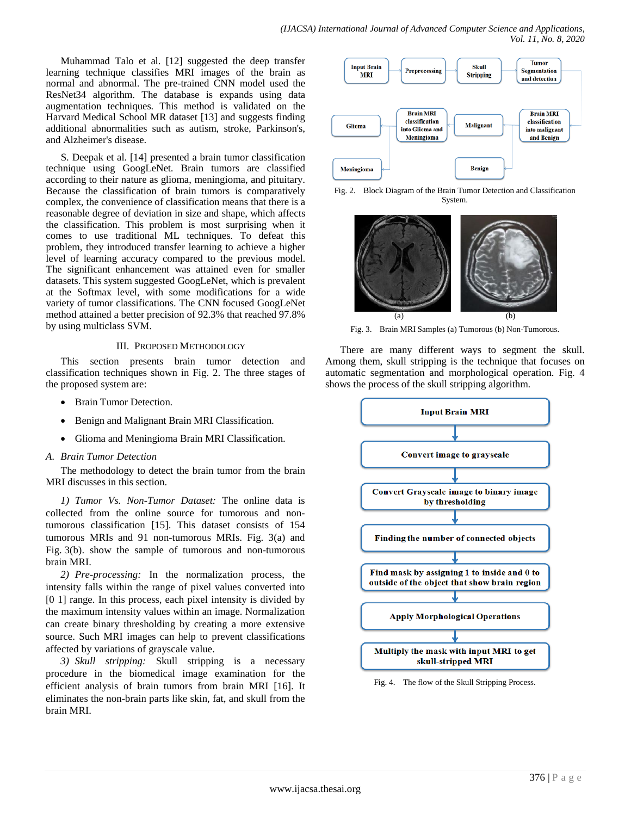Muhammad Talo et al. [12] suggested the deep transfer learning technique classifies MRI images of the brain as normal and abnormal. The pre-trained CNN model used the ResNet34 algorithm. The database is expands using data augmentation techniques. This method is validated on the Harvard Medical School MR dataset [13] and suggests finding additional abnormalities such as autism, stroke, Parkinson's, and Alzheimer's disease.

S. Deepak et al. [14] presented a brain tumor classification technique using GoogLeNet. Brain tumors are classified according to their nature as glioma, meningioma, and pituitary. Because the classification of brain tumors is comparatively complex, the convenience of classification means that there is a reasonable degree of deviation in size and shape, which affects the classification. This problem is most surprising when it comes to use traditional ML techniques. To defeat this problem, they introduced transfer learning to achieve a higher level of learning accuracy compared to the previous model. The significant enhancement was attained even for smaller datasets. This system suggested GoogLeNet, which is prevalent at the Softmax level, with some modifications for a wide variety of tumor classifications. The CNN focused GoogLeNet method attained a better precision of 92.3% that reached 97.8% by using multiclass SVM.

## III. PROPOSED METHODOLOGY

This section presents brain tumor detection and classification techniques shown in Fig. 2. The three stages of the proposed system are:

- Brain Tumor Detection.
- Benign and Malignant Brain MRI Classification.
- Glioma and Meningioma Brain MRI Classification.

## *A. Brain Tumor Detection*

The methodology to detect the brain tumor from the brain MRI discusses in this section.

*1) Tumor Vs. Non-Tumor Dataset:* The online data is collected from the online source for tumorous and nontumorous classification [15]. This dataset consists of 154 tumorous MRIs and 91 non-tumorous MRIs. Fig. 3(a) and Fig. 3(b). show the sample of tumorous and non-tumorous brain MRI.

*2) Pre-processing:* In the normalization process, the intensity falls within the range of pixel values converted into [0 1] range. In this process, each pixel intensity is divided by the maximum intensity values within an image. Normalization can create binary thresholding by creating a more extensive source. Such MRI images can help to prevent classifications affected by variations of grayscale value.

*3) Skull stripping:* Skull stripping is a necessary procedure in the biomedical image examination for the efficient analysis of brain tumors from brain MRI [16]. It eliminates the non-brain parts like skin, fat, and skull from the brain MRI.



Fig. 2. Block Diagram of the Brain Tumor Detection and Classification System.



Fig. 3. Brain MRI Samples (a) Tumorous (b) Non-Tumorous.

There are many different ways to segment the skull. Among them, skull stripping is the technique that focuses on automatic segmentation and morphological operation. Fig. 4 shows the process of the skull stripping algorithm.



Fig. 4. The flow of the Skull Stripping Process.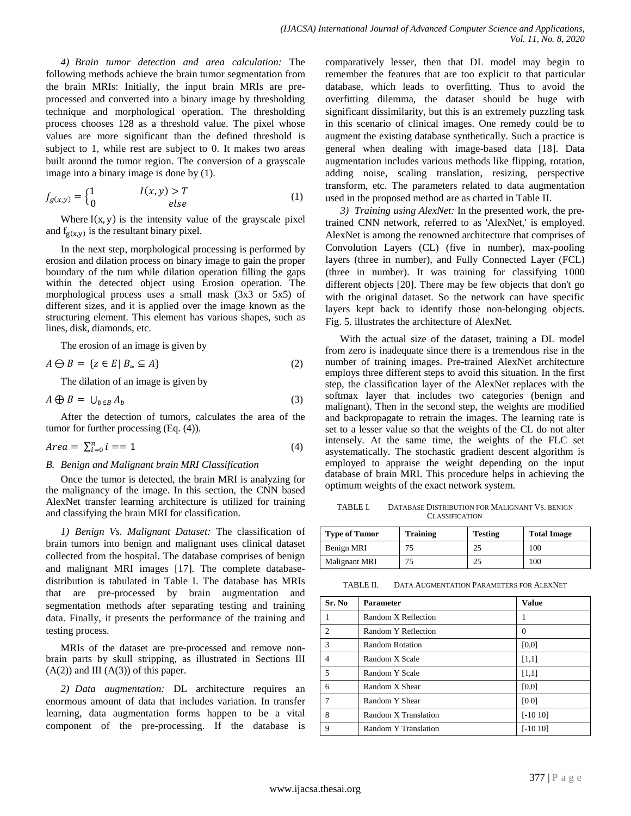*4) Brain tumor detection and area calculation:* The following methods achieve the brain tumor segmentation from the brain MRIs: Initially, the input brain MRIs are preprocessed and converted into a binary image by thresholding technique and morphological operation. The thresholding process chooses 128 as a threshold value. The pixel whose values are more significant than the defined threshold is subject to 1, while rest are subject to 0. It makes two areas built around the tumor region. The conversion of a grayscale image into a binary image is done by (1).

$$
f_{g(x,y)} = \begin{cases} 1 & I(x,y) > T \\ 0 & else \end{cases}
$$
 (1)

Where  $I(x, y)$  is the intensity value of the grayscale pixel and  $f_{g(x,y)}$  is the resultant binary pixel.

In the next step, morphological processing is performed by erosion and dilation process on binary image to gain the proper boundary of the tum while dilation operation filling the gaps within the detected object using Erosion operation. The morphological process uses a small mask (3x3 or 5x5) of different sizes, and it is applied over the image known as the structuring element. This element has various shapes, such as lines, disk, diamonds, etc.

The erosion of an image is given by

$$
A \ominus B = \{ z \in E \mid B_{\approx} \subseteq A \}
$$
 (2)

The dilation of an image is given by

$$
A \oplus B = \bigcup_{b \in B} A_b \tag{3}
$$

After the detection of tumors, calculates the area of the tumor for further processing (Eq. (4)).

$$
Area = \sum_{i=0}^{n} i == 1 \tag{4}
$$

#### *B. Benign and Malignant brain MRI Classification*

Once the tumor is detected, the brain MRI is analyzing for the malignancy of the image. In this section, the CNN based AlexNet transfer learning architecture is utilized for training and classifying the brain MRI for classification.

*1) Benign Vs. Malignant Dataset:* The classification of brain tumors into benign and malignant uses clinical dataset collected from the hospital. The database comprises of benign and malignant MRI images [17]. The complete databasedistribution is tabulated in Table I. The database has MRIs that are pre-processed by brain augmentation and segmentation methods after separating testing and training data. Finally, it presents the performance of the training and testing process.

MRIs of the dataset are pre-processed and remove nonbrain parts by skull stripping, as illustrated in Sections III  $(A(2))$  and III  $(A(3))$  of this paper.

*2) Data augmentation:* DL architecture requires an enormous amount of data that includes variation. In transfer learning, data augmentation forms happen to be a vital component of the pre-processing. If the database is comparatively lesser, then that DL model may begin to remember the features that are too explicit to that particular database, which leads to overfitting. Thus to avoid the overfitting dilemma, the dataset should be huge with significant dissimilarity, but this is an extremely puzzling task in this scenario of clinical images. One remedy could be to augment the existing database synthetically. Such a practice is general when dealing with image-based data [18]. Data augmentation includes various methods like flipping, rotation, adding noise, scaling translation, resizing, perspective transform, etc. The parameters related to data augmentation used in the proposed method are as charted in Table II.

*3) Training using AlexNet:* In the presented work, the pretrained CNN network, referred to as 'AlexNet,' is employed. AlexNet is among the renowned architecture that comprises of Convolution Layers (CL) (five in number), max-pooling layers (three in number), and Fully Connected Layer (FCL) (three in number). It was training for classifying 1000 different objects [20]. There may be few objects that don't go with the original dataset. So the network can have specific layers kept back to identify those non-belonging objects. Fig. 5. illustrates the architecture of AlexNet.

With the actual size of the dataset, training a DL model from zero is inadequate since there is a tremendous rise in the number of training images. Pre-trained AlexNet architecture employs three different steps to avoid this situation. In the first step, the classification layer of the AlexNet replaces with the softmax layer that includes two categories (benign and malignant). Then in the second step, the weights are modified and backpropagate to retrain the images. The learning rate is set to a lesser value so that the weights of the CL do not alter intensely. At the same time, the weights of the FLC set asystematically. The stochastic gradient descent algorithm is employed to appraise the weight depending on the input database of brain MRI. This procedure helps in achieving the optimum weights of the exact network system.

TABLE I. DATABASE DISTRIBUTION FOR MALIGNANT VS. BENIGN **CLASSIFICATION** 

| <b>Type of Tumor</b> | <b>Training</b> | <b>Testing</b> | <b>Total Image</b> |
|----------------------|-----------------|----------------|--------------------|
| Benign MRI           | 75              | 25             | 100                |
| Malignant MRI        | 75              | 25             | 100                |

TABLE II. DATA AUGMENTATION PARAMETERS FOR ALEXNET

| Sr. No         | Parameter            | <b>Value</b> |
|----------------|----------------------|--------------|
|                | Random X Reflection  | 1            |
| $\mathfrak{D}$ | Random Y Reflection  | $\Omega$     |
| 3              | Random Rotation      | [0,0]        |
| $\overline{4}$ | Random X Scale       | $[1,1]$      |
| 5              | Random Y Scale       | [1,1]        |
| 6              | Random X Shear       | [0,0]        |
| 7              | Random Y Shear       | [00]         |
| 8              | Random X Translation | $[-1010]$    |
| 9              | Random Y Translation | $[-1010]$    |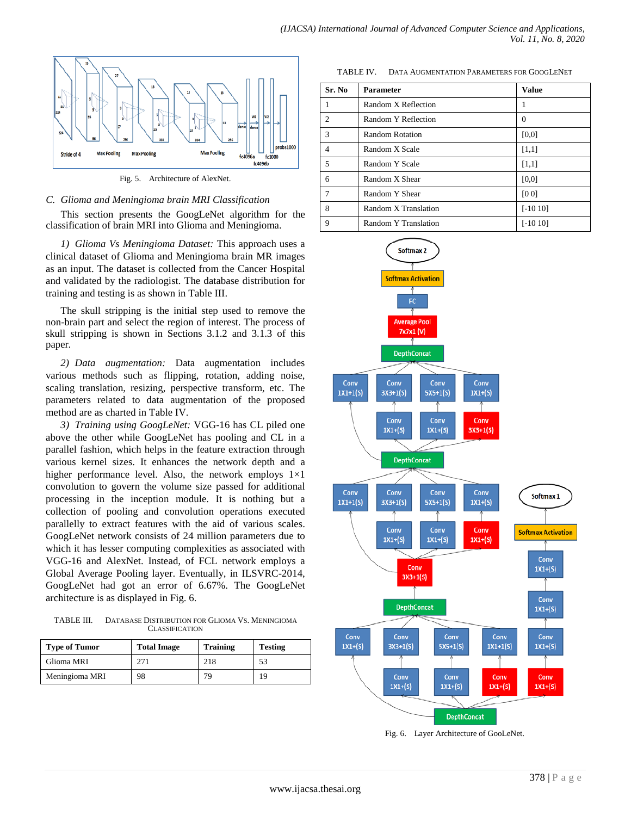

Fig. 5. Architecture of AlexNet.

# *C. Glioma and Meningioma brain MRI Classification*

This section presents the GoogLeNet algorithm for the classification of brain MRI into Glioma and Meningioma.

*1) Glioma Vs Meningioma Dataset:* This approach uses a clinical dataset of Glioma and Meningioma brain MR images as an input. The dataset is collected from the Cancer Hospital and validated by the radiologist. The database distribution for training and testing is as shown in Table III.

The skull stripping is the initial step used to remove the non-brain part and select the region of interest. The process of skull stripping is shown in Sections 3.1.2 and 3.1.3 of this paper.

*2) Data augmentation:* Data augmentation includes various methods such as flipping, rotation, adding noise, scaling translation, resizing, perspective transform, etc. The parameters related to data augmentation of the proposed method are as charted in Table IV.

*3) Training using GoogLeNet:* VGG-16 has CL piled one above the other while GoogLeNet has pooling and CL in a parallel fashion, which helps in the feature extraction through various kernel sizes. It enhances the network depth and a higher performance level. Also, the network employs  $1\times1$ convolution to govern the volume size passed for additional processing in the inception module. It is nothing but a collection of pooling and convolution operations executed parallelly to extract features with the aid of various scales. GoogLeNet network consists of 24 million parameters due to which it has lesser computing complexities as associated with VGG-16 and AlexNet. Instead, of FCL network employs a Global Average Pooling layer. Eventually, in ILSVRC-2014, GoogLeNet had got an error of 6.67%. The GoogLeNet architecture is as displayed in Fig. 6.

TABLE III. DATABASE DISTRIBUTION FOR GLIOMA VS. MENINGIOMA **CLASSIFICATION** 

| <b>Type of Tumor</b> | <b>Total Image</b> | <b>Training</b> | <b>Testing</b> |
|----------------------|--------------------|-----------------|----------------|
| Glioma MRI           | 271                | 218             | 53             |
| Meningioma MRI       | 98                 | 79              | 19             |

TABLE IV. DATA AUGMENTATION PARAMETERS FOR GOOGLENET

| Sr. No                      | <b>Parameter</b>     | <b>Value</b> |
|-----------------------------|----------------------|--------------|
|                             | Random X Reflection  | 1            |
| $\mathcal{D}_{\mathcal{L}}$ | Random Y Reflection  | 0            |
| 3                           | Random Rotation      | [0,0]        |
|                             | Random X Scale       | [1,1]        |
| 5                           | Random Y Scale       | [1,1]        |
| 6                           | Random X Shear       | [0,0]        |
|                             | Random Y Shear       | [00]         |
| 8                           | Random X Translation | $[-1010]$    |
| 9                           | Random Y Translation | $[-1010]$    |



Fig. 6. Layer Architecture of GooLeNet.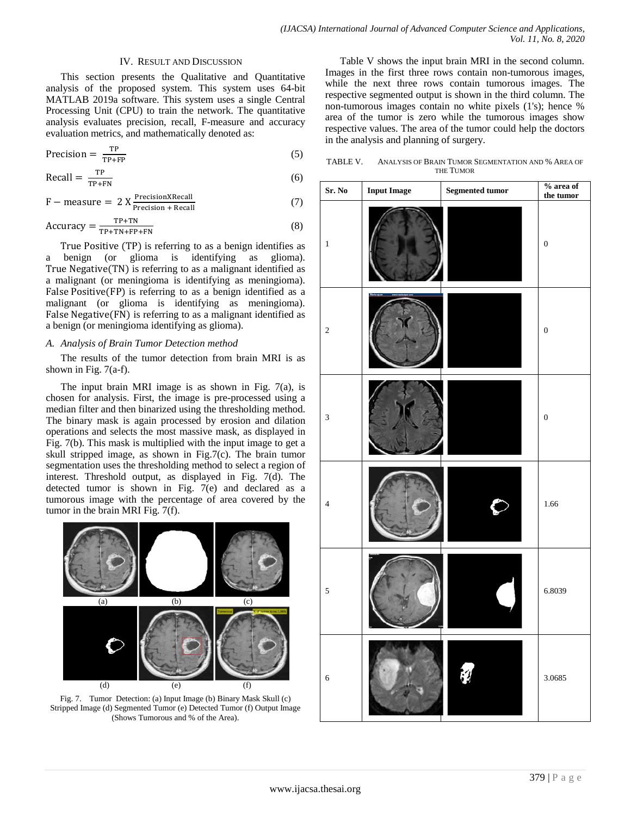#### IV. RESULT AND DISCUSSION

This section presents the Qualitative and Quantitative analysis of the proposed system. This system uses 64-bit MATLAB 2019a software. This system uses a single Central Processing Unit (CPU) to train the network. The quantitative analysis evaluates precision, recall, F-measure and accuracy evaluation metrics, and mathematically denoted as:

$$
Precision = \frac{TP}{TP + FP}
$$
 (5)

$$
\text{Recall} = \frac{\text{TP}}{\text{TP} + \text{FN}}\tag{6}
$$

$$
F - measure = 2 X \frac{Precision X Recall}{Precision + Recall}
$$
 (7)

$$
Accuracy = \frac{TP + TN}{TP + TN + FP + FN}
$$
 (8)

True Positive (TP) is referring to as a benign identifies as benign (or glioma is identifying as glioma). True Negative(TN) is referring to as a malignant identified as a malignant (or meningioma is identifying as meningioma). False Positive(FP) is referring to as a benign identified as a malignant (or glioma is identifying as meningioma). False Negative(FN) is referring to as a malignant identified as a benign (or meningioma identifying as glioma).

#### *A. Analysis of Brain Tumor Detection method*

The results of the tumor detection from brain MRI is as shown in Fig.  $7(a-f)$ .

The input brain MRI image is as shown in Fig.  $7(a)$ , is chosen for analysis. First, the image is pre-processed using a median filter and then binarized using the thresholding method. The binary mask is again processed by erosion and dilation operations and selects the most massive mask, as displayed in Fig. 7(b). This mask is multiplied with the input image to get a skull stripped image, as shown in Fig.7(c). The brain tumor segmentation uses the thresholding method to select a region of interest. Threshold output, as displayed in Fig. 7(d). The detected tumor is shown in Fig.  $7(e)$  and declared as a tumorous image with the percentage of area covered by the tumor in the brain MRI Fig. 7(f).



Fig. 7. Tumor Detection: (a) Input Image (b) Binary Mask Skull (c) Stripped Image (d) Segmented Tumor (e) Detected Tumor (f) Output Image (Shows Tumorous and % of the Area).

Table V shows the input brain MRI in the second column. Images in the first three rows contain non-tumorous images, while the next three rows contain tumorous images. The respective segmented output is shown in the third column. The non-tumorous images contain no white pixels (1's); hence % area of the tumor is zero while the tumorous images show respective values. The area of the tumor could help the doctors in the analysis and planning of surgery.

TABLE V. ANALYSIS OF BRAIN TUMOR SEGMENTATION AND % AREA OF THE TUMOR

| Sr. No         | <b>Input Image</b> | Segmented tumor | $\%$ area of<br>the tumor |
|----------------|--------------------|-----------------|---------------------------|
| $\,1$          |                    |                 | $\boldsymbol{0}$          |
| $\sqrt{2}$     |                    |                 | $\boldsymbol{0}$          |
| $\mathfrak{Z}$ |                    |                 | $\boldsymbol{0}$          |
| $\overline{4}$ |                    |                 | 1.66                      |
| 5              |                    |                 | 6.8039                    |
| $\sqrt{6}$     |                    |                 | 3.0685                    |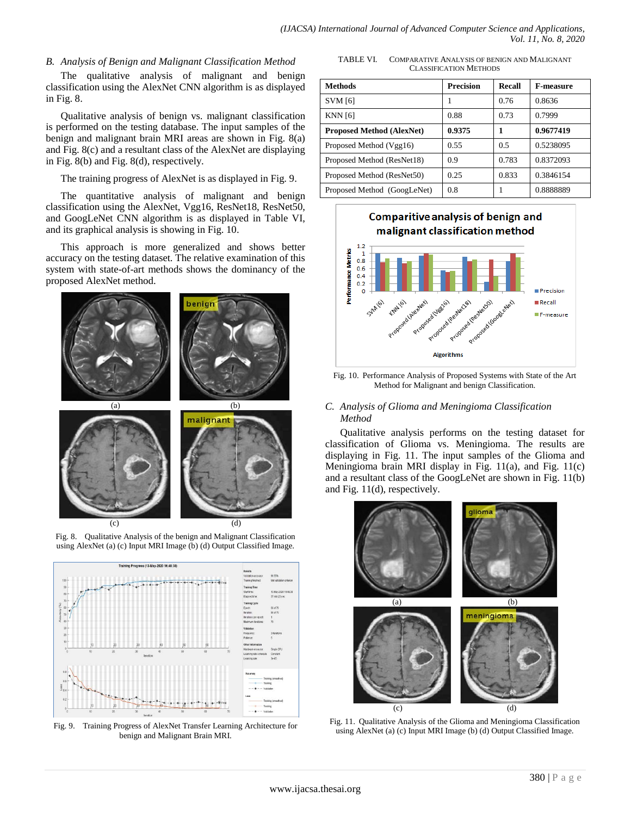## *B. Analysis of Benign and Malignant Classification Method*

The qualitative analysis of malignant and benign classification using the AlexNet CNN algorithm is as displayed in Fig. 8.

Qualitative analysis of benign vs. malignant classification is performed on the testing database. The input samples of the benign and malignant brain MRI areas are shown in Fig. 8(a) and Fig. 8(c) and a resultant class of the AlexNet are displaying in Fig. 8(b) and Fig. 8(d), respectively.

The training progress of AlexNet is as displayed in Fig. 9.

The quantitative analysis of malignant and benign classification using the AlexNet, Vgg16, ResNet18, ResNet50, and GoogLeNet CNN algorithm is as displayed in Table VI, and its graphical analysis is showing in Fig. 10.

This approach is more generalized and shows better accuracy on the testing dataset. The relative examination of this system with state-of-art methods shows the dominancy of the proposed AlexNet method.





using AlexNet (a) (c) Input MRI Image (b) (d) Output Classified Image.

Fig. 9. Training Progress of AlexNet Transfer Learning Architecture for benign and Malignant Brain MRI.

TABLE VI. COMPARATIVE ANALYSIS OF BENIGN AND MALIGNANT CLASSIFICATION METHODS

| <b>Methods</b>                   | <b>Precision</b> | Recall | <b>F-measure</b> |
|----------------------------------|------------------|--------|------------------|
| <b>SVM</b> [6]                   |                  | 0.76   | 0.8636           |
| <b>KNN</b> [6]                   | 0.88             | 0.73   | 0.7999           |
| <b>Proposed Method (AlexNet)</b> | 0.9375           | 1      | 0.9677419        |
| Proposed Method (Vgg16)          | 0.55             | 0.5    | 0.5238095        |
| Proposed Method (ResNet18)       | 0.9              | 0.783  | 0.8372093        |
| Proposed Method (ResNet50)       | 0.25             | 0.833  | 0.3846154        |
| Proposed Method (GoogLeNet)      | 0.8              |        | 0.8888889        |



Fig. 10. Performance Analysis of Proposed Systems with State of the Art Method for Malignant and benign Classification.

# *C. Analysis of Glioma and Meningioma Classification Method*

Qualitative analysis performs on the testing dataset for classification of Glioma vs. Meningioma. The results are displaying in Fig. 11. The input samples of the Glioma and Meningioma brain MRI display in Fig. 11(a), and Fig. 11(c) and a resultant class of the GoogLeNet are shown in Fig. 11(b) and Fig. 11(d), respectively.



Fig. 11. Qualitative Analysis of the Glioma and Meningioma Classification using AlexNet (a) (c) Input MRI Image (b) (d) Output Classified Image.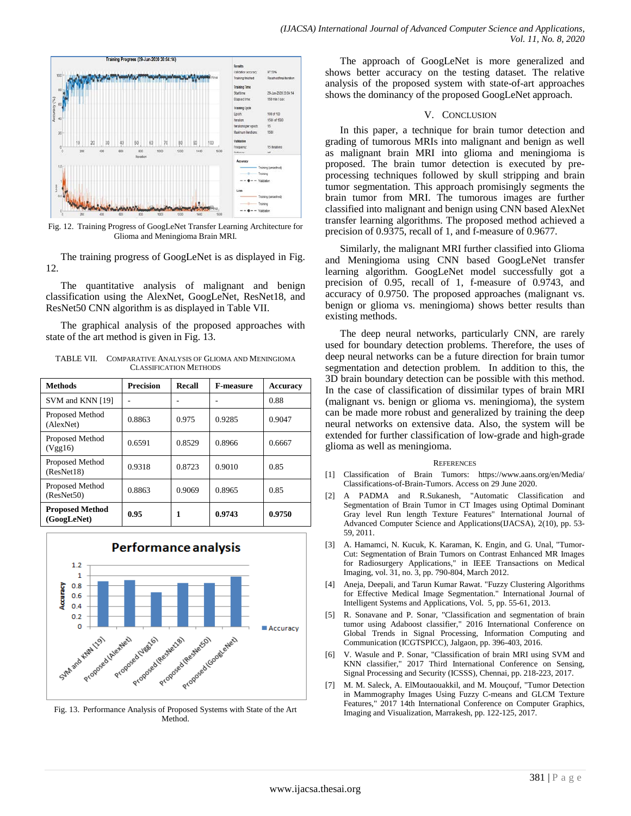

Fig. 12. Training Progress of GoogLeNet Transfer Learning Architecture for Glioma and Meningioma Brain MRI.

The training progress of GoogLeNet is as displayed in Fig. 12.

The quantitative analysis of malignant and benign classification using the AlexNet, GoogLeNet, ResNet18, and ResNet50 CNN algorithm is as displayed in Table VII.

The graphical analysis of the proposed approaches with state of the art method is given in Fig. 13.

TABLE VII. COMPARATIVE ANALYSIS OF GLIOMA AND MENINGIOMA CLASSIFICATION METHODS

| <b>Methods</b>                        | <b>Precision</b> | Recall | <b>F-measure</b> | <b>Accuracy</b> |
|---------------------------------------|------------------|--------|------------------|-----------------|
| SVM and KNN [19]                      |                  |        |                  | 0.88            |
| Proposed Method<br>(AlexNet)          | 0.8863           | 0.975  | 0.9285           | 0.9047          |
| Proposed Method<br>(Vgg16)            | 0.6591           | 0.8529 | 0.8966           | 0.6667          |
| Proposed Method<br>(ResNet18)         | 0.9318           | 0.8723 | 0.9010           | 0.85            |
| Proposed Method<br>(ResNet50)         | 0.8863           | 0.9069 | 0.8965           | 0.85            |
| <b>Proposed Method</b><br>(GoogLeNet) | 0.95             |        | 0.9743           | 0.9750          |



Fig. 13. Performance Analysis of Proposed Systems with State of the Art Method.

The approach of GoogLeNet is more generalized and shows better accuracy on the testing dataset. The relative analysis of the proposed system with state-of-art approaches shows the dominancy of the proposed GoogLeNet approach.

#### V. CONCLUSION

In this paper, a technique for brain tumor detection and grading of tumorous MRIs into malignant and benign as well as malignant brain MRI into glioma and meningioma is proposed. The brain tumor detection is executed by preprocessing techniques followed by skull stripping and brain tumor segmentation. This approach promisingly segments the brain tumor from MRI. The tumorous images are further classified into malignant and benign using CNN based AlexNet transfer learning algorithms. The proposed method achieved a precision of 0.9375, recall of 1, and f-measure of 0.9677.

Similarly, the malignant MRI further classified into Glioma and Meningioma using CNN based GoogLeNet transfer learning algorithm. GoogLeNet model successfully got a precision of 0.95, recall of 1, f-measure of 0.9743, and accuracy of 0.9750. The proposed approaches (malignant vs. benign or glioma vs. meningioma) shows better results than existing methods.

The deep neural networks, particularly CNN, are rarely used for boundary detection problems. Therefore, the uses of deep neural networks can be a future direction for brain tumor segmentation and detection problem. In addition to this, the 3D brain boundary detection can be possible with this method. In the case of classification of dissimilar types of brain MRI (malignant vs. benign or glioma vs. meningioma), the system can be made more robust and generalized by training the deep neural networks on extensive data. Also, the system will be extended for further classification of low-grade and high-grade glioma as well as meningioma.

#### **REFERENCES**

- [1] Classification of Brain Tumors: https://www.aans.org/en/Media/ Classifications-of-Brain-Tumors. Access on 29 June 2020.
- [2] A PADMA and R.Sukanesh, "Automatic Classification and Segmentation of Brain Tumor in CT Images using Optimal Dominant Gray level Run length Texture Features" International Journal of Advanced Computer Science and Applications(IJACSA), 2(10), pp. 53- 59, 2011.
- [3] A. Hamamci, N. Kucuk, K. Karaman, K. Engin, and G. Unal, "Tumor-Cut: Segmentation of Brain Tumors on Contrast Enhanced MR Images for Radiosurgery Applications," in IEEE Transactions on Medical Imaging, vol. 31, no. 3, pp. 790-804, March 2012.
- [4] Aneja, Deepali, and Tarun Kumar Rawat. "Fuzzy Clustering Algorithms for Effective Medical Image Segmentation." International Journal of Intelligent Systems and Applications, Vol. 5, pp. 55-61, 2013.
- [5] R. Sonavane and P. Sonar, "Classification and segmentation of brain tumor using Adaboost classifier," 2016 International Conference on Global Trends in Signal Processing, Information Computing and Communication (ICGTSPICC), Jalgaon, pp. 396-403, 2016.
- [6] V. Wasule and P. Sonar, "Classification of brain MRI using SVM and KNN classifier," 2017 Third International Conference on Sensing, Signal Processing and Security (ICSSS), Chennai, pp. 218-223, 2017.
- [7] M. M. Saleck, A. ElMoutaouakkil, and M. Mouçouf, "Tumor Detection in Mammography Images Using Fuzzy C-means and GLCM Texture Features," 2017 14th International Conference on Computer Graphics, Imaging and Visualization, Marrakesh, pp. 122-125, 2017.